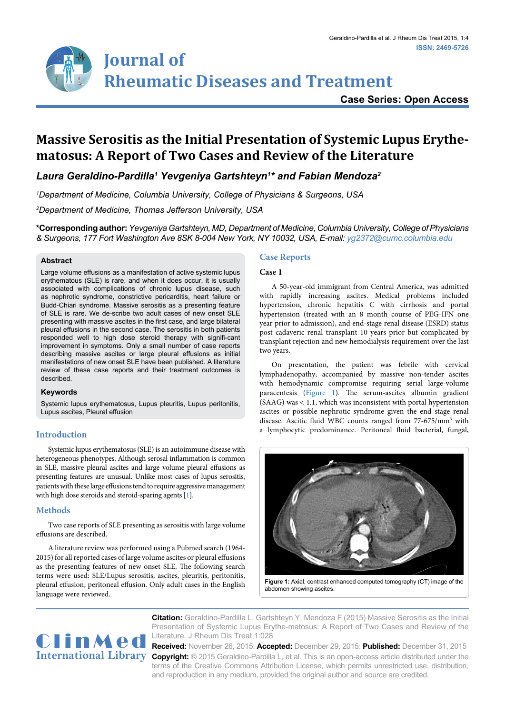## **Case Series: Open Access**

# **Massive Serositis as the Initial Presentation of Systemic Lupus Erythematosus: A Report of Two Cases and Review of the Literature**

*Laura Geraldino-Pardilla1 Yevgeniya Gartshteyn1 \* and Fabian Mendoza2*

*1 Department of Medicine, Columbia University, College of Physicians & Surgeons, USA*

*2 Department of Medicine, Thomas Jefferson University, USA*

**\*Corresponding author:** *Yevgeniya Gartshteyn, MD, Department of Medicine, Columbia University, College of Physicians & Surgeons, 177 Fort Washington Ave 8SK 8-004 New York, NY 10032, USA, E-mail: yg2372@cumc.columbia.edu* 

#### **Abstract**

Large volume effusions as a manifestation of active systemic lupus erythematous (SLE) is rare, and when it does occur, it is usually associated with complications of chronic lupus disease, such as nephrotic syndrome, constrictive pericarditis, heart failure or Budd-Chiari syndrome. Massive serositis as a presenting feature of SLE is rare. We de-scribe two adult cases of new onset SLE presenting with massive ascites in the first case, and large bilateral pleural effusions in the second case. The serositis in both patients responded well to high dose steroid therapy with signifi-cant improvement in symptoms. Only a small number of case reports describing massive ascites or large pleural effusions as initial manifestations of new onset SLE have been published. A literature review of these case reports and their treatment outcomes is described.

#### **Keywords**

Systemic lupus erythematosus, Lupus pleuritis, Lupus peritonitis, Lupus ascites, Pleural effusion

### **Introduction**

Systemic lupus erythematosus (SLE) is an autoimmune disease with heterogeneous phenotypes. Although serosal inflammation is common in SLE, massive pleural ascites and large volume pleural effusions as presenting features are unusual. Unlike most cases of lupus serositis, patients with these large effusions tend to require aggressive management with high dose steroids and steroid-sparing agents [\[1](#page-2-0)].

### **Methods**

Two case reports of SLE presenting as serositis with large volume effusions are described.

A literature review was performed using a Pubmed search (1964- 2015) for all reported cases of large volume ascites or pleural effusions as the presenting features of new onset SLE. The following search terms were used: SLE/Lupus serositis, ascites, pleuritis, peritonitis, pleural effusion, peritoneal effusion. Only adult cases in the English language were reviewed.

#### **Case Reports**

#### **Case 1**

A 50-year-old immigrant from Central America, was admitted with rapidly increasing ascites. Medical problems included hypertension, chronic hepatitis C with cirrhosis and portal hypertension (treated with an 8 month course of PEG-IFN one year prior to admission), and end-stage renal disease (ESRD) status post cadaveric renal transplant 10 years prior but complicated by transplant rejection and new hemodialysis requirement over the last two years.

On presentation, the patient was febrile with cervical lymphadenopathy, accompanied by massive non-tender ascites with hemodynamic compromise requiring serial large-volume paracentesis ([Figure 1\)](#page-0-0). The serum-ascites albumin gradient (SAAG) was < 1.1, which was inconsistent with portal hypertension ascites or possible nephrotic syndrome given the end stage renal disease. Ascitic fluid WBC counts ranged from 77-675/mm3 with a lymphocytic predominance. Peritoneal fluid bacterial, fungal,

<span id="page-0-0"></span>

abdomen showing ascites.



**Citation:** Geraldino-Pardilla L, Gartshteyn Y, Mendoza F (2015) Massive Serositis as the Initial Presentation of Systemic Lupus Erythe-matosus: A Report of Two Cases and Review of the Literature. J Rheum Dis Treat 1:028

International Library Copyright: © 2015 Geraldino-Pardilla L, et al. This is an open-access article distributed under the **Received:** November 26, 2015: **Accepted:** December 29, 2015: **Published:** December 31, 2015 terms of the Creative Commons Attribution License, which permits unrestricted use, distribution, and reproduction in any medium, provided the original author and source are credited.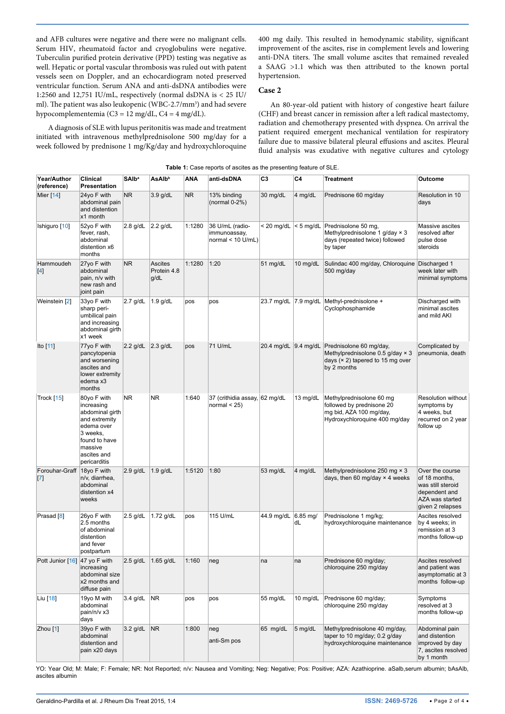and AFB cultures were negative and there were no malignant cells. Serum HIV, rheumatoid factor and cryoglobulins were negative. Tuberculin purified protein derivative (PPD) testing was negative as well. Hepatic or portal vascular thrombosis was ruled out with patent vessels seen on Doppler, and an echocardiogram noted preserved ventricular function. Serum ANA and anti-dsDNA antibodies were 1:2560 and 12,751 IU/mL, respectively (normal dsDNA is < 25 IU/ ml). The patient was also leukopenic (WBC-2.7/mm<sup>3</sup>) and had severe hypocomplementemia (C3 = 12 mg/dL, C4 = 4 mg/dL).

A diagnosis of SLE with lupus peritonitis was made and treatment initiated with intravenous methylprednisolone 500 mg/day for a week followed by prednisone 1 mg/Kg/day and hydroxychloroquine

400 mg daily. This resulted in hemodynamic stability, significant improvement of the ascites, rise in complement levels and lowering anti-DNA titers. The small volume ascites that remained revealed a SAAG >1.1 which was then attributed to the known portal hypertension.

#### **Case 2**

An 80-year-old patient with history of congestive heart failure (CHF) and breast cancer in remission after a left radical mastectomy, radiation and chemotherapy presented with dyspnea. On arrival the patient required emergent mechanical ventilation for respiratory failure due to massive bilateral pleural effusions and ascites. Pleural fluid analysis was exudative with negative cultures and cytology

|                                 |                                                                                                                                                    |                         |                                |           | <b>1.</b> Odde reports or docted as the presenting reatare or OLL |              |                  |                                                                                                                                              |                                                                                                               |
|---------------------------------|----------------------------------------------------------------------------------------------------------------------------------------------------|-------------------------|--------------------------------|-----------|-------------------------------------------------------------------|--------------|------------------|----------------------------------------------------------------------------------------------------------------------------------------------|---------------------------------------------------------------------------------------------------------------|
| Year/Author<br>(reference)      | Clinical<br>Presentation                                                                                                                           | <b>SAIb<sup>a</sup></b> | <b>AsAlb</b> <sup>b</sup>      | ANA       | anti-dsDNA                                                        | C3           | C4               | Treatment                                                                                                                                    | Outcome                                                                                                       |
| Mier [14]                       | 24yo F with<br>abdominal pain<br>and distention<br>x1 month                                                                                        | NR.                     | $3.9$ g/dL                     | <b>NR</b> | 13% binding<br>(normal $0-2\%$ )                                  | 30 mg/dL     | 4 mg/dL          | Prednisone 60 mg/day                                                                                                                         | Resolution in 10<br>days                                                                                      |
| Ishiguro [10]                   | 52yo F with<br>fever, rash,<br>abdominal<br>distention x6<br>months                                                                                | $2.8$ g/dL              | $2.2$ g/dL                     | 1:1280    | 36 U/mL (radio-<br>immunoassay,<br>normal $<$ 10 U/mL)            | $<$ 20 mg/dL |                  | $\leq$ 5 mg/dL Prednisolone 50 mg,<br>Methylprednisolone 1 g/day $\times$ 3<br>days (repeated twice) followed<br>by taper                    | Massive ascites<br>resolved after<br>pulse dose<br>steroids                                                   |
| Hammoudeh<br>$[4]$              | 27yo F with<br>abdominal<br>pain, n/v with<br>new rash and<br>joint pain                                                                           | <b>NR</b>               | Ascites<br>Protein 4.8<br>g/dL | 1:1280    | 1:20                                                              | 51 mg/dL     | 10 mg/dL         | Sulindac 400 mg/day, Chloroquine<br>500 mg/day                                                                                               | Discharged 1<br>week later with<br>minimal symptoms                                                           |
| Weinstein [2]                   | 33yo F with<br>sharp peri-<br>umbilical pain<br>and increasing<br>abdominal girth<br>x1 week                                                       | $2.7$ g/dL              | $1.9$ g/dL                     | pos       | pos                                                               |              |                  | 23.7 mg/dL 7.9 mg/dL Methyl-prednisolone +<br>Cyclophosphamide                                                                               | Discharged with<br>minimal ascites<br>and mild AKI                                                            |
| Ito $[11]$                      | 77yo F with<br>pancytopenia<br>and worsening<br>ascites and<br>lower extremity<br>edema x3<br>months                                               | 2.2 $g/dL$ 2.3 $g/dL$   |                                | pos       | 71 U/mL                                                           |              |                  | 20.4 mg/dL 9.4 mg/dL Prednisolone 60 mg/day,<br>Methylprednisolone 0.5 g/day $\times$ 3<br>days $(x 2)$ tapered to 15 mg over<br>by 2 months | Complicated by<br>pneumonia, death                                                                            |
| Trock [15]                      | 80yo F with<br>increasing<br>abdominal girth<br>and extremity<br>edema over<br>3 weeks,<br>found to have<br>massive<br>ascites and<br>pericarditis | NR                      | NR.                            | 1:640     | 37 (crithidia assay, 62 mg/dL<br>normal $<$ 25)                   |              | 13 mg/dL         | Methylprednisolone 60 mg<br>followed by prednisone 20<br>mg bid, AZA 100 mg/day,<br>Hydroxychloroquine 400 mg/day                            | Resolution without<br>symptoms by<br>4 weeks, but<br>recurred on 2 year<br>follow up                          |
| Forouhar-Graff<br>$[7]$         | 18yo $F$ with<br>n/v, diarrhea,<br>abdominal<br>distention x4<br>weeks                                                                             | $2.9$ g/dL              | $1.9$ g/dL                     | 1:5120    | 1:80                                                              | 53 mg/dL     | 4 mg/dL          | Methylprednisolone 250 mg $\times$ 3<br>days, then 60 mg/day $\times$ 4 weeks                                                                | Over the course<br>of 18 months,<br>was still steroid<br>dependent and<br>AZA was started<br>given 2 relapses |
| Prasad [8]                      | 26yo F with<br>2.5 months<br>of abdominal<br>distention<br>and fever<br>postpartum                                                                 | $2.5$ g/dL              | $1.72$ g/dL                    | pos       | 115 U/mL                                                          | 44.9 mg/dL   | $6.85$ mg/<br>dL | Prednisolone 1 mg/kg;<br>hydroxychloroquine maintenance                                                                                      | Ascites resolved<br>by 4 weeks; in<br>remission at 3<br>months follow-up                                      |
| Pott Junior $[16]$ 47 yo F with | increasing<br>abdominal size<br>x2 months and<br>diffuse pain                                                                                      | $2.5$ g/dL              | $1.65$ g/dL                    | 1:160     | neg                                                               | na           | na               | Prednisone 60 mg/day;<br>chloroquine 250 mg/day                                                                                              | Ascites resolved<br>and patient was<br>asymptomatic at 3<br>months follow-up                                  |
| Liu [18]                        | 19yo M with<br>abdominal<br>pain/n/v x3<br>days                                                                                                    | $3.4$ g/dL              | <b>NR</b>                      | pos       | pos                                                               | 55 mg/dL     | 10 mg/dL         | Prednisone 60 mg/day;<br>chloroquine 250 mg/day                                                                                              | Symptoms<br>resolved at 3<br>months follow-up                                                                 |
| Zhou [1]                        | 39yo F with<br>abdominal<br>distention and<br>pain x20 days                                                                                        | $3.2$ g/dL              | <b>NR</b>                      | 1:800     | neg<br>anti-Sm pos                                                | 65 mg/dL     | 5 mg/dL          | Methylprednisolone 40 mg/day,<br>taper to 10 mg/day; 0.2 g/day<br>hydroxychloroquine maintenance                                             | Abdominal pain<br>and distention<br>improved by day<br>7, ascites resolved<br>by 1 month                      |

<span id="page-1-0"></span>**Table 1:** Case reports of ascites as the presenting feature of SLE.

YO: Year Old; M: Male; F: Female; NR: Not Reported; n/v: Nausea and Vomiting; Neg: Negative; Pos: Positive; AZA: Azathioprine. aSalb,serum albumin; bAsAlb, ascites albumin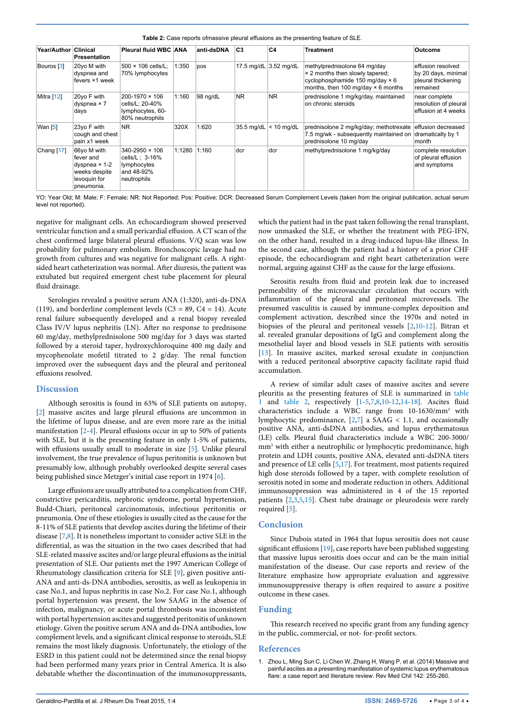<span id="page-2-1"></span>**Table 2:** Case reports ofmassive pleural effusions as the presenting feature of SLE.

| Year/Author Clinical | <b>Presentation</b>                                                                             | Pleural fluid WBC ANA                                                                 |        | anti-dsDNA | C <sub>3</sub> | C4                    | <b>Treatment</b>                                                                                                                                       | Outcome                                                                    |
|----------------------|-------------------------------------------------------------------------------------------------|---------------------------------------------------------------------------------------|--------|------------|----------------|-----------------------|--------------------------------------------------------------------------------------------------------------------------------------------------------|----------------------------------------------------------------------------|
| Bouros [3]           | 20yo M with<br>dyspnea and<br>fevers ×1 week                                                    | 500 × 106 cells/L:<br>70% lymphocytes                                                 | 1:350  | pos        |                | 17.5 mg/dL 3.52 mg/dL | methylprednisolone 64 mg/day<br>× 2 months then slowly tapered;<br>cyclophosphamide 150 mg/day $\times$ 6<br>months, then 100 mg/day $\times$ 6 months | effusion resolved<br>by 20 days, minimal<br>pleural thickening<br>remained |
| Mitra [12]           | 20yo F with<br>dyspnea $\times$ 7<br>days                                                       | 200-1970 × 106<br>cells/L: 20-40%<br>lymphocytes, 60-<br>80% neutrophils              | 1:160  | $98$ ng/dL | NR.            | <b>NR</b>             | prednisolone 1 mg/kg/day, maintained<br>on chronic steroids                                                                                            | near complete<br>resolution of pleural<br>effusion at 4 weeks              |
| Wan $[5]$            | 23yo F with<br>cough and chest<br>pain x1 week                                                  | NR.                                                                                   | 320X   | 1:620      | 35.5 mg/dL     | $<$ 10 mg/dL          | prednisolone 2 mg/kg/day; methotrexate<br>7.5 mg/wk - subsequently maintained on<br>prednisolone 10 mg/day                                             | effusion decreased<br>dramatically by 1<br>month                           |
| Chang $[17]$         | 66yo M with<br>fever and<br>dyspnea $\times$ 1-2<br>weeks despite<br>levoquin for<br>pneumonia. | $340 - 2950 \times 106$<br>cells/L; 3-16%<br>lymphocytes<br>and 48-92%<br>neutrophils | 1:1280 | 1:160      | dcr            | dcr                   | methylprednisolone 1 mg/kg/day                                                                                                                         | complete resolution<br>of pleural effusion<br>and symptoms                 |

YO: Year Old; M: Male; F: Female; NR: Not Reported; Pos: Positive; DCR: Decreased Serum Complement Levels (taken from the original publication, actual serum level not reported).

negative for malignant cells. An echocardiogram showed preserved ventricular function and a small pericardial effusion. A CT scan of the chest confirmed large bilateral pleural effusions. V/Q scan was low probability for pulmonary embolism. Bronchoscopic lavage had no growth from cultures and was negative for malignant cells. A rightsided heart catheterization was normal. After diuresis, the patient was extubated but required emergent chest tube placement for pleural fluid drainage.

Serologies revealed a positive serum ANA (1:320), anti-ds-DNA (119), and borderline complement levels ( $C3 = 89$ ,  $C4 = 14$ ). Acute renal failure subsequently developed and a renal biopsy revealed Class IV/V lupus nephritis (LN). After no response to prednisone 60 mg/day, methylprednisolone 500 mg/day for 3 days was started followed by a steroid taper, hydroxychloroquine 400 mg daily and mycophenolate mofetil titrated to 2 g/day. The renal function improved over the subsequent days and the pleural and peritoneal effusions resolved.

#### **Discussion**

Although serositis is found in 63% of SLE patients on autopsy, [[2\]](#page-3-3) massive ascites and large pleural effusions are uncommon in the lifetime of lupus disease, and are even more rare as the initial manifestation [[2](#page-3-3)[-4\]](#page-3-2). Pleural effusions occur in up to 50% of patients with SLE, but it is the presenting feature in only 1-5% of patients, with effusions usually small to moderate in size [\[5\]](#page-3-10). Unlike pleural involvement, the true prevalence of lupus peritonitis is unknown but presumably low, although probably overlooked despite several cases being published since Metzger's initial case report in 1974 [[6](#page-3-11)].

Large effusions are usually attributed to a complication from CHF, constrictive pericarditis, nephrotic syndrome, portal hypertension, Budd-Chiari, peritoneal carcinomatosis, infectious peritonitis or pneumonia. One of these etiologies is usually cited as the cause for the 8-11% of SLE patients that develop ascites during the lifetime of their disease [[7](#page-3-6)[,8\]](#page-3-7). It is nonetheless important to consider active SLE in the differential, as was the situation in the two cases described that had SLE-related massive ascites and/or large pleural effusions as the initial presentation of SLE. Our patients met the 1997 American College of Rheumatology classification criteria for SLE [\[9\]](#page-3-12), given positive anti-ANA and anti-ds-DNA antibodies, serositis, as well as leukopenia in case No.1, and lupus nephritis in case No.2. For case No.1, although portal hypertension was present, the low SAAG in the absence of infection, malignancy, or acute portal thrombosis was inconsistent with portal hypertension ascites and suggested peritonitis of unknown etiology. Given the positive serum ANA and ds-DNA antibodies, low complement levels, and a significant clinical response to steroids, SLE remains the most likely diagnosis. Unfortunately, the etiology of the ESRD in this patient could not be determined since the renal biopsy had been performed many years prior in Central America. It is also debatable whether the discontinuation of the immunosuppressants,

which the patient had in the past taken following the renal transplant, now unmasked the SLE, or whether the treatment with PEG-IFN, on the other hand, resulted in a drug-induced lupus-like illness. In the second case, although the patient had a history of a prior CHF episode, the echocardiogram and right heart catheterization were normal, arguing against CHF as the cause for the large effusions.

Serositis results from fluid and protein leak due to increased permeability of the microvascular circulation that occurs with inflammation of the pleural and peritoneal microvessels. The presumed vasculitis is caused by immune-complex deposition and complement activation, described since the 1970s and noted in biopsies of the pleural and peritoneal vessels [\[2,](#page-3-3)[10](#page-3-1)-[12](#page-3-13)]. Bitran et al. revealed granular depositions of IgG and complement along the mesothelial layer and blood vessels in SLE patients with serositis [[13](#page-3-14)]. In massive ascites, marked serosal exudate in conjunction with a reduced peritoneal absorptive capacity facilitate rapid fluid accumulation.

A review of similar adult cases of massive ascites and severe pleuritis as the presenting features of SLE is summarized in [table](#page-1-0)  [1](#page-1-0) and [table 2](#page-2-1), respectively [\[1](#page-2-0)-[5,](#page-3-10)[7](#page-3-6)[,8,](#page-3-7)[10](#page-3-1)-[12](#page-3-13)[,14](#page-3-0)[-18\]](#page-3-9). Ascites fluid characteristics include a WBC range from 10-1630/mm3 with lymphocytic predominance, [\[2,](#page-3-3)[7](#page-3-6)] a SAAG < 1.1, and occasionally positive ANA, anti-dsDNA antibodies, and lupus erythematosus (LE) cells. Pleural fluid characteristics include a WBC 200-3000/ mm3 with either a neutrophilic or lymphocytic predominance, high protein and LDH counts, positive ANA, elevated anti-dsDNA titers and presence of LE cells [\[5,](#page-3-10)[17](#page-3-15)]. For treatment, most patients required high dose steroids followed by a taper, with complete resolution of serositis noted in some and moderate reduction in others. Additional immunosuppression was administered in 4 of the 15 reported patients [[2](#page-3-3)[,3,](#page-3-16)[5](#page-3-10)[,15\]](#page-3-5). Chest tube drainage or pleurodesis were rarely required [[5](#page-3-10)].

#### **Conclusion**

Since Dubois stated in 1964 that lupus serositis does not cause significant effusions [[19\]](#page-3-17), case reports have been published suggesting that massive lupus serositis does occur and can be the main initial manifestation of the disease. Our case reports and review of the literature emphasize how appropriate evaluation and aggressive immunosuppressive therapy is often required to assure a positive outcome in these cases.

#### **Funding**

This research received no specific grant from any funding agency in the public, commercial, or not- for-profit sectors.

#### **References**

<span id="page-2-0"></span><sup>1.</sup> [Zhou L, Ming Sun C, Li Chen W, Zhang H, Wang P, et al. \(2014\) Massive and](http://www.ncbi.nlm.nih.gov/pubmed/24953116)  [painful ascites as a presenting manifestation of systemic lupus erythematosus](http://www.ncbi.nlm.nih.gov/pubmed/24953116)  [flare: a case report and literature review. Rev Med Chil 142: 255-260.](http://www.ncbi.nlm.nih.gov/pubmed/24953116)